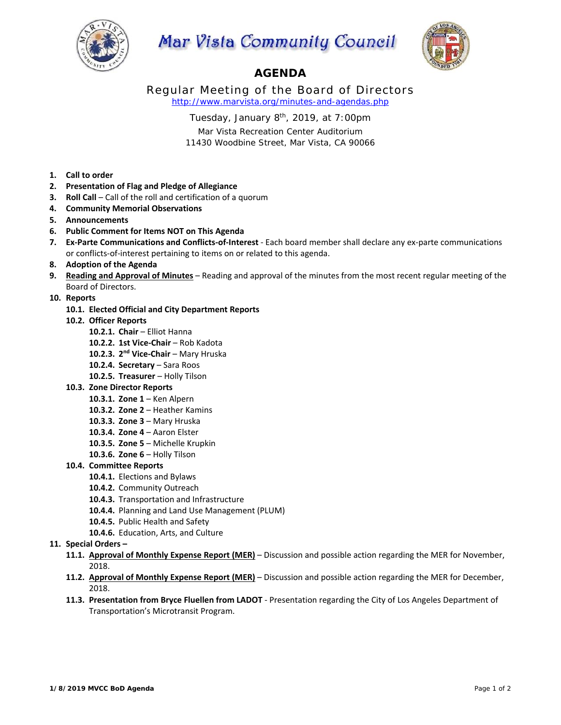

# Mar Vista Community Council



# **AGENDA**

Regular Meeting of the Board of Directors *http://www.marvista.org/minutes-and-agendas.php* 

Tuesday, January  $8<sup>th</sup>$ , 2019, at 7:00pm

Mar Vista Recreation Center Auditorium 11430 Woodbine Street, Mar Vista, CA 90066

**1. Call to order** 

- **2. Presentation of Flag and Pledge of Allegiance**
- **3. Roll Call** Call of the roll and certification of a quorum
- **4. Community Memorial Observations**
- **5. Announcements**
- **6. Public Comment for Items NOT on This Agenda**
- **7. Ex‐Parte Communications and Conflicts‐of‐Interest** ‐ Each board member shall declare any ex‐parte communications or conflicts‐of‐interest pertaining to items on or related to this agenda.
- **8. Adoption of the Agenda**
- **9. Reading and Approval of Minutes** Reading and approval of the minutes from the most recent regular meeting of the Board of Directors.
- **10. Reports** 
	- **10.1. Elected Official and City Department Reports**
	- **10.2. Officer Reports** 
		- **10.2.1. Chair**  Elliot Hanna
		- 10.2.2. 1st Vice-Chair Rob Kadota
		- 10.2.3. 2<sup>nd</sup> Vice-Chair Mary Hruska
		- 10.2.4. **Secretary** Sara Roos
		- 10.2.5. Treasurer Holly Tilson
	- **10.3. Zone Director Reports** 
		- **10.3.1. Zone 1**  Ken Alpern
		- **10.3.2. Zone 2**  Heather Kamins
		- **10.3.3. Zone 3**  Mary Hruska
		- **10.3.4. Zone 4**  Aaron Elster
		- **10.3.5. Zone 5**  Michelle Krupkin
		- **10.3.6. Zone 6**  Holly Tilson

## **10.4. Committee Reports**

- **10.4.1.** Elections and Bylaws
- **10.4.2.** Community Outreach
- **10.4.3.** Transportation and Infrastructure
- **10.4.4.** Planning and Land Use Management (PLUM)
- **10.4.5.** Public Health and Safety
- **10.4.6.** Education, Arts, and Culture

# 11. **Special Orders -**

- **11.1. Approval of Monthly Expense Report (MER)**  Discussion and possible action regarding the MER for November, 2018.
- **11.2. Approval of Monthly Expense Report (MER)**  Discussion and possible action regarding the MER for December, 2018.
- 11.3. Presentation from Bryce Fluellen from LADOT Presentation regarding the City of Los Angeles Department of Transportation's Microtransit Program.